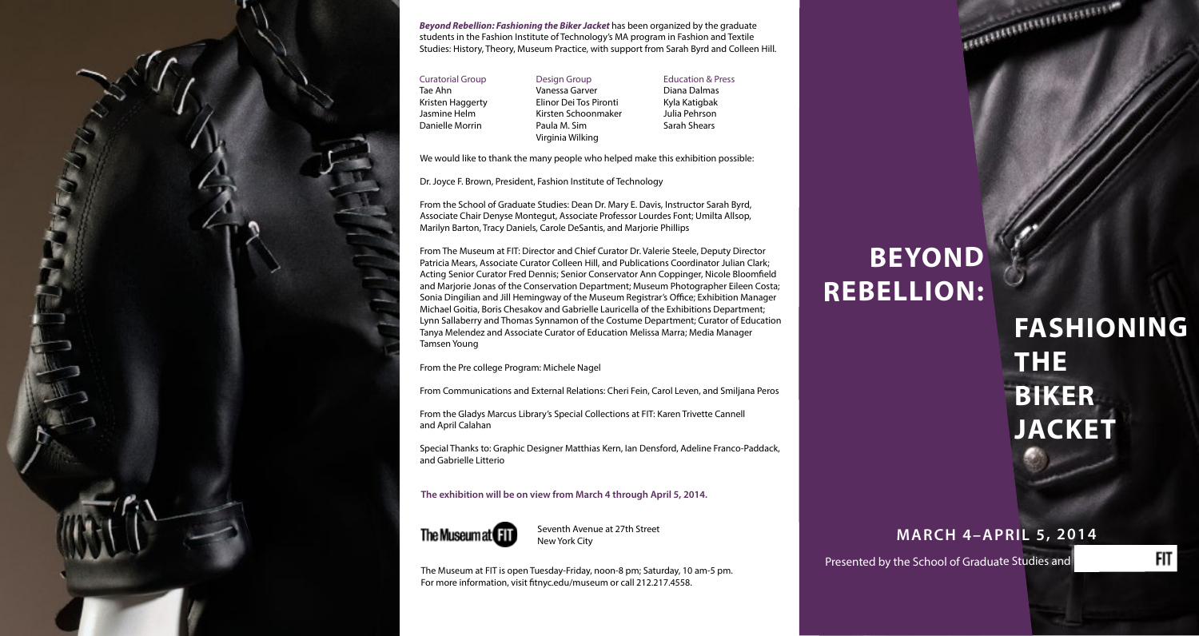## **BEYOND REBELLION:**

# **JACKET FASHIONING THE BIKER**

### **JACKET MARCH 4–APRIL 5, 2014**

FIT

**THE** 

THE COMMUNICATION OF

**BIKER** 

We would like to thank the many people who helped make this exhibition possible:

Dr. Joyce F. Brown, President, Fashion Institute of Technology

From the School of Graduate Studies: Dean Dr. Mary E. Davis, Instructor Sarah Byrd, Associate Chair Denyse Montegut, Associate Professor Lourdes Font; Umilta Allsop, Marilyn Barton, Tracy Daniels, Carole DeSantis, and Marjorie Phillips

From The Museum at FIT: Director and Chief Curator Dr. Valerie Steele, Deputy Director Patricia Mears, Associate Curator Colleen Hill, and Publications Coordinator Julian Clark; Acting Senior Curator Fred Dennis; Senior Conservator Ann Coppinger, Nicole Bloomfield and Marjorie Jonas of the Conservation Department; Museum Photographer Eileen Costa; Sonia Dingilian and Jill Hemingway of the Museum Registrar's Office; Exhibition Manager Michael Goitia, Boris Chesakov and Gabrielle Lauricella of the Exhibitions Department; Lynn Sallaberry and Thomas Synnamon of the Costume Department; Curator of Education Tanya Melendez and Associate Curator of Education Melissa Marra; Media Manager Tamsen Young

From the Pre college Program: Michele Nagel

From Communications and External Relations: Cheri Fein, Carol Leven, and Smiljana Peros

From the Gladys Marcus Library's Special Collections at FIT: Karen Trivette Cannell and April Calahan

Special Thanks to: Graphic Designer Matthias Kern, Ian Densford, Adeline Franco-Paddack, and Gabrielle Litterio



*Beyond Rebellion: Fashioning the Biker Jacket* has been organized by the graduate students in the Fashion Institute of Technology's MA program in Fashion and Textile Studies: History, Theory, Museum Practice, with support from Sarah Byrd and Colleen Hill.

- Curatorial Group Tae Ahn Kristen Haggerty Jasmine Helm Danielle Morrin
- Design Group Vanessa Garver Elinor Dei Tos Pironti Kirsten Schoonmaker Paula M. Sim Virginia Wilking
- Education & Press Diana Dalmas Kyla Katigbak Julia Pehrson Sarah Shears

**The exhibition will be on view from March 4 through April 5, 2014.**



Seventh Avenue at 27th Street New York City

The Museum at FIT is open Tuesday-Friday, noon-8 pm; Saturday, 10 am-5 pm. For more information, visit fitnyc.edu/museum or call 212.217.4558.

Presented by the School of Graduate Studies and